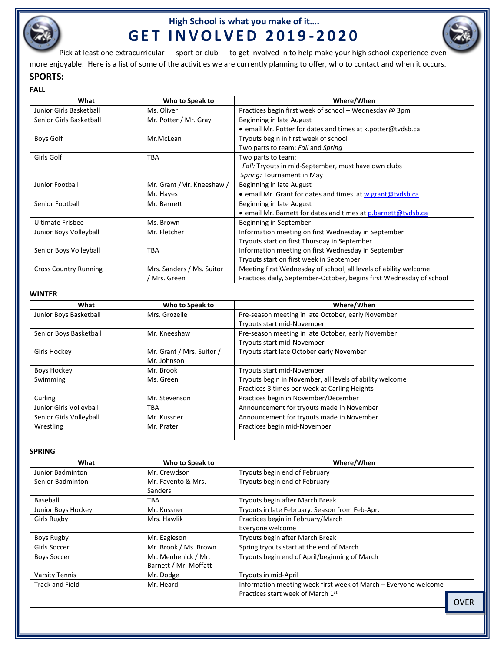

# **High School is what you make of it…. G E T I N V O L V E D 2 0 1 9 - 2 0 2 0**



Pick at least one extracurricular --- sport or club --- to get involved in to help make your high school experience even

more enjoyable. Here is a list of some of the activities we are currently planning to offer, who to contact and when it occurs.

### **SPORTS:**

| <b>FALL</b>                  |                           |                                                                      |
|------------------------------|---------------------------|----------------------------------------------------------------------|
| What                         | Who to Speak to           | Where/When                                                           |
| Junior Girls Basketball      | Ms. Oliver                | Practices begin first week of school - Wednesday @ 3pm               |
| Senior Girls Basketball      | Mr. Potter / Mr. Gray     | Beginning in late August                                             |
|                              |                           | • email Mr. Potter for dates and times at k.potter@tvdsb.ca          |
| Boys Golf                    | Mr.McLean                 | Tryouts begin in first week of school                                |
|                              |                           | Two parts to team: Fall and Spring                                   |
| Girls Golf                   | <b>TBA</b>                | Two parts to team:                                                   |
|                              |                           | Fall: Tryouts in mid-September, must have own clubs                  |
|                              |                           | Spring: Tournament in May                                            |
| Junior Football              | Mr. Grant /Mr. Kneeshaw / | Beginning in late August                                             |
|                              | Mr. Hayes                 | . email Mr. Grant for dates and times at w.grant@tvdsb.ca            |
| Senior Football              | Mr. Barnett               | Beginning in late August                                             |
|                              |                           | • email Mr. Barnett for dates and times at p.barnett@tvdsb.ca        |
| <b>Ultimate Frisbee</b>      | Ms. Brown                 | Beginning in September                                               |
| Junior Boys Volleyball       | Mr. Fletcher              | Information meeting on first Wednesday in September                  |
|                              |                           | Tryouts start on first Thursday in September                         |
| Senior Boys Volleyball       | <b>TBA</b>                | Information meeting on first Wednesday in September                  |
|                              |                           | Tryouts start on first week in September                             |
| <b>Cross Country Running</b> | Mrs. Sanders / Ms. Suitor | Meeting first Wednesday of school, all levels of ability welcome     |
|                              | Mrs. Green                | Practices daily, September-October, begins first Wednesday of school |

### **WINTER**

| What                    | Who to Speak to           | Where/When                                               |
|-------------------------|---------------------------|----------------------------------------------------------|
| Junior Boys Basketball  | Mrs. Grozelle             | Pre-season meeting in late October, early November       |
|                         |                           | Tryouts start mid-November                               |
| Senior Boys Basketball  | Mr. Kneeshaw              | Pre-season meeting in late October, early November       |
|                         |                           | Tryouts start mid-November                               |
| Girls Hockey            | Mr. Grant / Mrs. Suitor / | Tryouts start late October early November                |
|                         | Mr. Johnson               |                                                          |
| Boys Hockey             | Mr. Brook                 | Tryouts start mid-November                               |
| Swimming                | Ms. Green                 | Tryouts begin in November, all levels of ability welcome |
|                         |                           | Practices 3 times per week at Carling Heights            |
| Curling                 | Mr. Stevenson             | Practices begin in November/December                     |
| Junior Girls Volleyball | <b>TBA</b>                | Announcement for tryouts made in November                |
| Senior Girls Volleyball | Mr. Kussner               | Announcement for tryouts made in November                |
| Wrestling               | Mr. Prater                | Practices begin mid-November                             |

#### **SPRING**

| What                   | Who to Speak to       | Where/When                                                      |
|------------------------|-----------------------|-----------------------------------------------------------------|
| Junior Badminton       | Mr. Crewdson          | Tryouts begin end of February                                   |
| Senior Badminton       | Mr. Favento & Mrs.    | Tryouts begin end of February                                   |
|                        | <b>Sanders</b>        |                                                                 |
| Baseball               | TBA                   | Tryouts begin after March Break                                 |
| Junior Boys Hockey     | Mr. Kussner           | Tryouts in late February. Season from Feb-Apr.                  |
| Girls Rugby            | Mrs. Hawlik           | Practices begin in February/March                               |
|                        |                       | Everyone welcome                                                |
| Boys Rugby             | Mr. Eagleson          | Tryouts begin after March Break                                 |
| Girls Soccer           | Mr. Brook / Ms. Brown | Spring tryouts start at the end of March                        |
| <b>Boys Soccer</b>     | Mr. Menhenick / Mr.   | Tryouts begin end of April/beginning of March                   |
|                        | Barnett / Mr. Moffatt |                                                                 |
| <b>Varsity Tennis</b>  | Mr. Dodge             | Tryouts in mid-April                                            |
| <b>Track and Field</b> | Mr. Heard             | Information meeting week first week of March – Everyone welcome |
|                        |                       | Practices start week of March 1st                               |
|                        |                       | <b>OVER</b>                                                     |